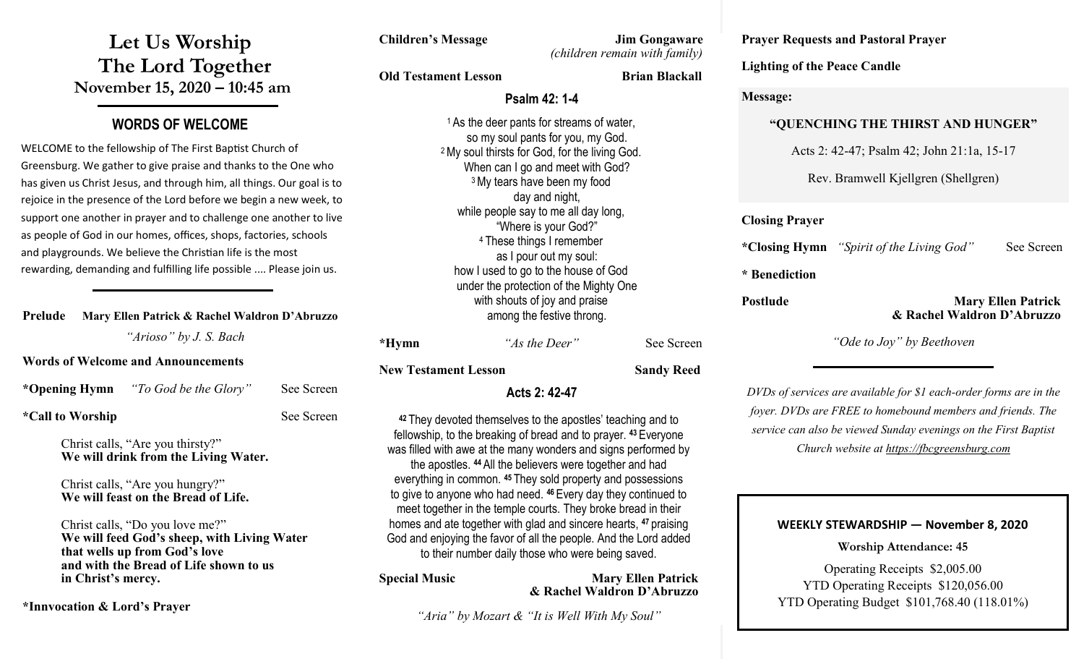# **Let Us Worship The Lord Together November 15, 2020 – 10:45 am**

# **WORDS OF WELCOME**

WELCOME to the fellowship of The First Baptist Church of Greensburg. We gather to give praise and thanks to the One who has given us Christ Jesus, and through him, all things. Our goal is to rejoice in the presence of the Lord before we begin a new week, to support one another in prayer and to challenge one another to live as people of God in our homes, offices, shops, factories, schools and playgrounds. We believe the Christian life is the most rewarding, demanding and fulfilling life possible .... Please join us.

#### **Prelude Mary Ellen Patrick & Rachel Waldron D'Abruzzo**

*"Arioso" by J. S. Bach*

#### **Words of Welcome and Announcements**

| *Opening Hymn | "To God be the Glory" | See Screen |
|---------------|-----------------------|------------|
|               |                       |            |

#### \*Call to Worship See Screen

Christ calls, "Are you thirsty?" **We will drink from the Living Water.**

Christ calls, "Are you hungry?" **We will feast on the Bread of Life.**

Christ calls, "Do you love me?" **We will feed God's sheep, with Living Water that wells up from God's love and with the Bread of Life shown to us in Christ's mercy.**

**\*Innvocation & Lord's Prayer**

**Children's Message Jim Gongaware**

*(children remain with family)*

**Prayer Requests and Pastoral Prayer**

**Lighting of the Peace Candle**

#### **Message:**

#### **"QUENCHING THE THIRST AND HUNGER"**

Acts 2: 42-47; Psalm 42; John 21:1a, 15-17

Rev. Bramwell Kjellgren (Shellgren)

## **Closing Prayer**

**\*Closing Hymn** *"Spirit of the Living God"* See Screen

**\* Benediction**

#### **Postlude Mary Ellen Patrick & Rachel Waldron D'Abruzzo**

*"Ode to Joy" by Beethoven*

*DVDs of services are available for \$1 each-order forms are in the foyer. DVDs are FREE to homebound members and friends. The service can also be viewed Sunday evenings on the First Baptist Church website at <https://fbcgreensburg.com>*

## **WEEKLY STEWARDSHIP — November 8, 2020**

**Worship Attendance: 45**

Operating Receipts \$2,005.00 YTD Operating Receipts \$120,056.00 YTD Operating Budget \$101,768.40 (118.01%)

## **New Testament Lesson Sandy Reed**

### **<sup>42</sup>** They devoted themselves to the apostles' teaching and to fellowship, to the breaking of bread and to prayer. **<sup>43</sup>** Everyone was filled with awe at the many wonders and signs performed by the apostles. **<sup>44</sup>** All the believers were together and had everything in common. **<sup>45</sup>** They sold property and possessions to give to anyone who had need. **<sup>46</sup>** Every day they continued to meet together in the temple courts. They broke bread in their homes and ate together with glad and sincere hearts, **<sup>47</sup>** praising God and enjoying the favor of all the people. And the Lord added to their number daily those who were being saved.

**Special Music** Mary Ellen Patrick **& Rachel Waldron D'Abruzzo** 

*"Aria" by Mozart & "It is Well With My Soul"*

# **Acts 2: 42-47**

**\*Hymn** *"As the Deer"* See Screen

**Old Testament Lesson Brian Blackall** 

**Psalm 42: 1-4**

<sup>1</sup> As the deer pants for streams of water, so my soul pants for you, my God. <sup>2</sup>My soul thirsts for God, for the living God. When can I go and meet with God? <sup>3</sup>My tears have been my food day and night, while people say to me all day long, "Where is your God?" <sup>4</sup> These things I remember as I pour out my soul: how I used to go to the house of God under the protection of the Mighty One with shouts of joy and praise among the festive throng.